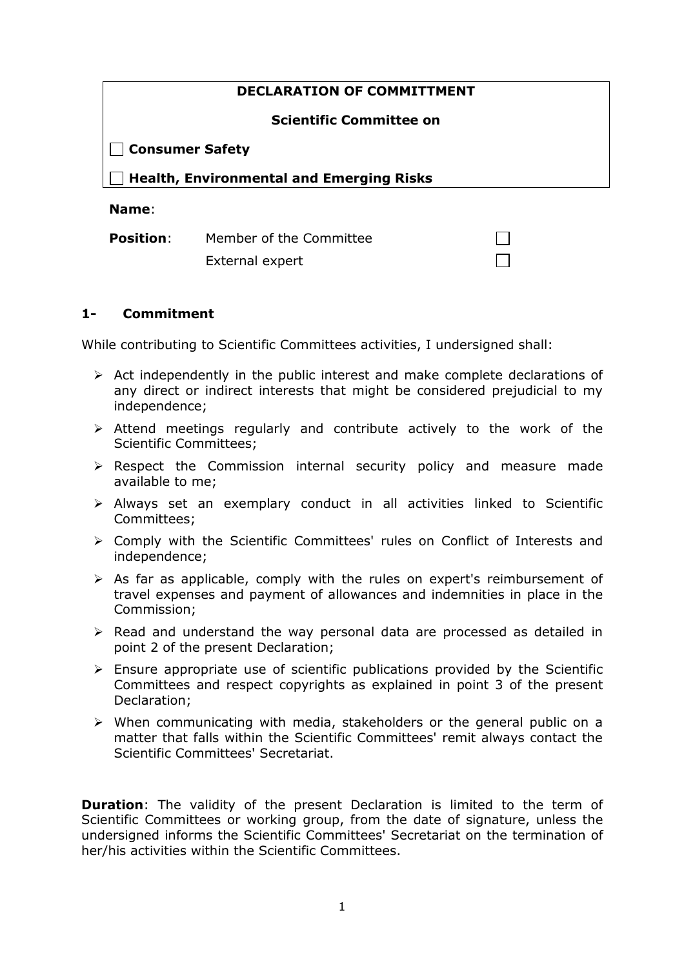| <b>DECLARATION OF COMMITTMENT</b>               |
|-------------------------------------------------|
| <b>Scientific Committee on</b>                  |
| Consumer Safety                                 |
| $\Box$ Health, Environmental and Emerging Risks |
| Name:                                           |

**Position:** Member of the Committee External expert

## **1- Commitment**

While contributing to Scientific Committees activities, I undersigned shall:

- $\triangleright$  Act independently in the public interest and make complete declarations of any direct or indirect interests that might be considered prejudicial to my independence;
- $\triangleright$  Attend meetings regularly and contribute actively to the work of the Scientific Committees;
- $\triangleright$  Respect the Commission internal security policy and measure made available to me;
- $\triangleright$  Always set an exemplary conduct in all activities linked to Scientific Committees;
- Comply with the Scientific Committees' rules on Conflict of Interests and independence;
- $\triangleright$  As far as applicable, comply with the rules on expert's reimbursement of travel expenses and payment of allowances and indemnities in place in the Commission;
- $\triangleright$  Read and understand the way personal data are processed as detailed in point 2 of the present Declaration;
- $\triangleright$  Ensure appropriate use of scientific publications provided by the Scientific Committees and respect copyrights as explained in point 3 of the present Declaration;
- When communicating with media, stakeholders or the general public on a matter that falls within the Scientific Committees' remit always contact the Scientific Committees' Secretariat.

**Duration**: The validity of the present Declaration is limited to the term of Scientific Committees or working group, from the date of signature, unless the undersigned informs the Scientific Committees' Secretariat on the termination of her/his activities within the Scientific Committees.